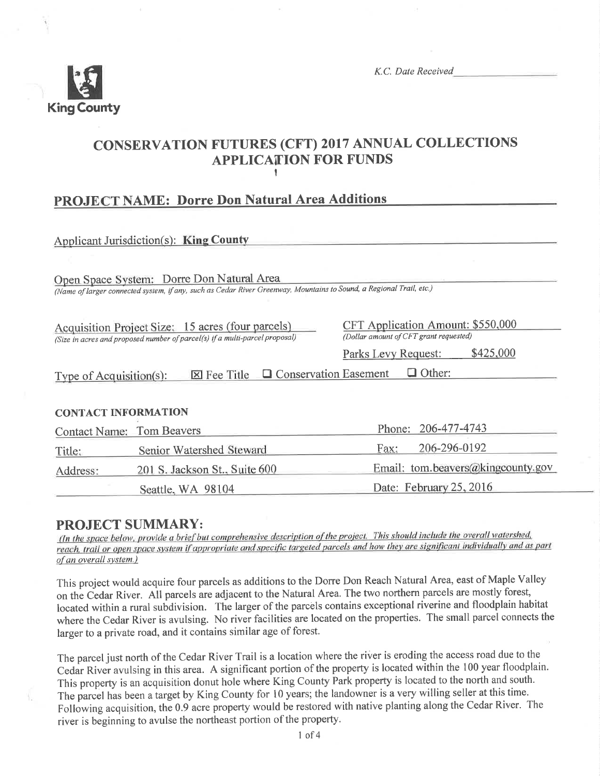

K.C. Date Received

# CONSERVATION FUTURES (CFT) 2017 ANNUAL COLLECTIONS **APPLICATION FOR FUNDS** I

# PROJECT NAME: Dorre Don Natural Area Additions

| Applicant Jurisdiction(s): <b>King County</b>                                                                                    |                                                                             |  |  |
|----------------------------------------------------------------------------------------------------------------------------------|-----------------------------------------------------------------------------|--|--|
|                                                                                                                                  |                                                                             |  |  |
| Open Space System: Dorre Don Natural Area                                                                                        |                                                                             |  |  |
| (Name of larger connected system, if any, such as Cedar River Greenway, Mountains to Sound, a Regional Trail, etc.)              |                                                                             |  |  |
| Acquisition Project Size: 15 acres (four parcels)<br>(Size in acres and proposed number of parcel(s) if a multi-parcel proposal) | CFT Application Amount: \$550,000<br>(Dollar amount of CFT grant requested) |  |  |
|                                                                                                                                  | \$425,000<br>Parks Levy Request:                                            |  |  |
| $\Box$ Other:<br>$\boxtimes$ Fee Title $\Box$ Conservation Easement<br>Type of Acquisition(s):                                   |                                                                             |  |  |
| <b>CONTACT INFORMATION</b>                                                                                                       |                                                                             |  |  |
| <b>Contact Name: Tom Beavers</b>                                                                                                 | Phone: 206-477-4743                                                         |  |  |
| Senior Watershed Steward<br>Title:                                                                                               | 206-296-0192<br>Fax:                                                        |  |  |

**PROJECT SUMMARY:**<br>(In the space below, provide a brief but comprehensive description of the project. This should include the overall watershed, reach, trail or open space system if appropriate and specific targeted parcels and how they are significant individually and as part of an overall system.)

Address: 201 S. Jackson St., Suite 600 Email: tom.beavers@kingcounty.gov

Seattle, WA 98104 Date: February 25, 2016

This project would acquire four parcels as additions to the Dorre Don Reach Natural Area, east of Maple Valley on the Cedar River. All parcels are adjacent to the Natural Area. The two northern parcels are mostly forest, located within a rural subdivision. The larger of the parcels contains exceptional riverine and floodplain habitat where the Cedar River is avulsing. No river facilities are located on the properties. The small parcel connects the larger to a private road, and it contains similar age of forest.

The parcel just north of the Cedar River Trail is a location where the river is eroding the access road due to the Cedar River avulsing in this area. A significant portion of the property is located within the 100 year floodplain. This property is an acquisition donut hole where King County Park property is located to the north and south. The parcel has been a target by King County for 10 years; the landowner is a very willing seller at this time. Follówing acquisition, thé 0.9 acre property would be restored with native planting along the Cedar River. The river is beginning to avulse the northeast portion of the property.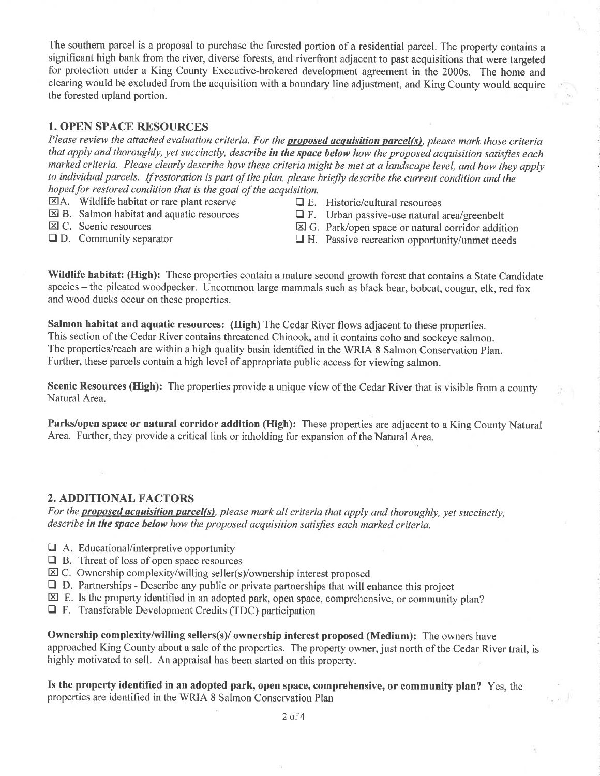The southern parcel is a proposal to purchase the forested portion of a residential parcel. The property contains a significant high bank from the river, diverse forests, and riverfront adjacent to past acquisitions that were targeted for protection under a King County Executive-brokered development agreement in the 2000s. The home and clearing would be excluded from the acquisition with a boundary line adjustment, and King County would acquire the forested upland portion.

#### 1. OPEN SPACE RESOURCES

Please review the attached evaluation criteria. For the **proposed acquisition parcel(s)**, please mark those criteria that apply and thoroughly, yet succinctly, describe in the space below how the proposed acquisition satisfies each marked criteria. Please clearly describe how these criteria might be met at a landscape level, and how they apply to individual parcels. If restoration is part of the plan, please briefly describe the current condition and the hoped for restored condition that is the goal of the acquisition.

- $\Box$  A. Wildlife habitat or rare plant reserve  $\Box$  E. Historic/cultural resources  $\Box$  E. Urban passive-use natural is
	-
- 
- 
- E B. Salmon habitat and aquatic resources  $\Box$  F. Urban passive-use natural area/greenbelt  $\boxtimes$  C. Scenic resources  $\boxtimes$  G. Park/open space or natural corridor additional
- $\boxtimes$  C. Scenic resources<br>  $\boxtimes$  G. Park/open space or natural corridor addition<br>  $\Box$  D. Community separator<br>  $\Box$  H. Passive recreation opportunity/unmet needs  $\Box$  H. Passive recreation opportunity/unmet needs

Wildlife habitat: (High): These properties contain a mature second growth forest that contains a State Candidate species - the pileated woodpecker. Uncommon large mammals such as black bear, bobcat, cougar, elk, red fox and wood ducks occur on these properties.

Salmon habitat and aquatic resources: (High) The Cedar River flows adjacent to these properties. This section of the Cedar River contains threatened Chinook, and it contains coho and sockeye salmon. The properties/reach are within a high quality basin identified in the WRIA 8 Salmon Conservation Plan. Further, these parcels contain a high level of appropriate public access for viewing salmon.

Scenic Resources (High): The properties provide a unique view of the Cedar River that is visible from a county Natural Area.

Parks/open space or natural corridor addition (High): These properties are adjacent to a King County Natural Area. Further, they provide a critical link or inholding for expansion of the Natural Area.

#### 2. ADDITIONAL FACTORS

For the **proposed acquisition parcel(s)**, please mark all criteria that apply and thoroughly, yet succinctly, describe in the space below how the proposed acquisition satisfies each marked criteria.

- $\Box$  A. Educational/interpretive opportunity
- $\Box$  B. Threat of loss of open space resources
- $\boxtimes$  C. Ownership complexity/willing seller(s)/ownership interest proposed
- $\Box$  D. Partnerships Describe any public or private partnerships that will enhance this project
- $\boxtimes$  E. Is the property identified in an adopted park, open space, comprehensive, or community plan?
- $\Box$  F. Transferable Development Credits (TDC) participation

Ownership complexity/willing sellers(s)/ ownership interest proposed (Medium): The owners have approached King County about a sale of the properties. The property owner, just north of the Cedar River trail, is highly motivated to sell. An appraisal has been started on this property.

Is the property identified in an adopted park, open space, comprehensive, or community plan? Yes, the properties are identified in the WRIA 8 Salmon Conservation Plan

2of4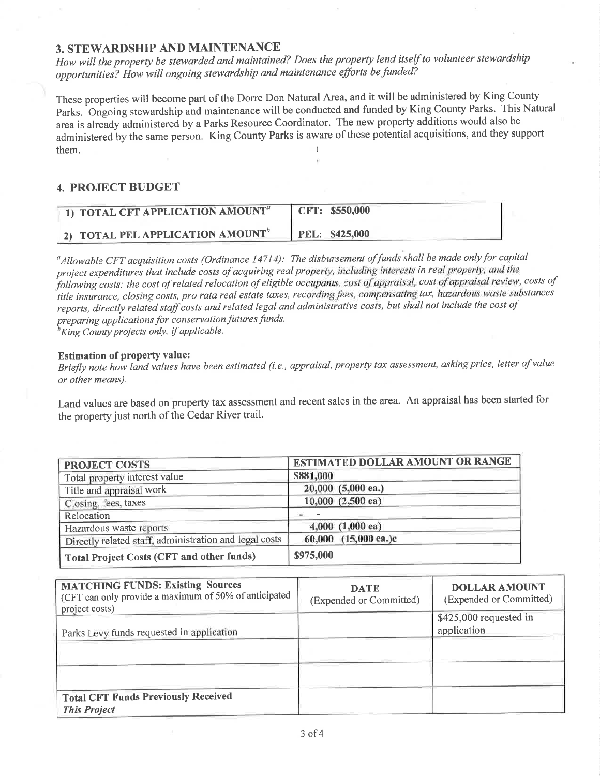#### 3. STEWARDSHIP AND MAINTENANCE

How will the property be stewarded and maintained? Does the property lend itself to volunteer stewardship opportunities? How will ongoing stewardship and maintenance efforts be funded?

These properties will become part of the Dorre Don Natural Area, and it will be administered by King County Parks. Ongoing stewardship and maintenance will be conducted and funded by King County Parks. This Natural area is already administered by a Parks Resource Coordinator. The new property additions would also be administered by the same person. King County Parks is aware of these potential acquisitions, and they support them.

#### **4. PROJECT BUDGET**

| 1) TOTAL CFT APPLICATION AMOUNT <sup>®</sup> | CFT: \$550,000 |
|----------------------------------------------|----------------|
| 2) TOTAL PEL APPLICATION AMOUNT              | PEL: \$425,000 |

<sup>a</sup>Allowable CFT acquisition costs (Ordinance 14714): The disbursement of funds shall be made only for capital project expenditures that include costs of acquiring real property, including interests in real property, and the following costs: the cost of related relocation of eligible occupants, cost of appraisal, cost of appraisal review, costs of title insurance, closing costs, pro rata real estate taxes, recording fees, compensating tax, hazardous waste substances reports, directly related staff costs and related legal and administrative costs, but shall not include the cost of preparing applications for conservation futures funds.

 ${}^{\overline{b}}$ King County projects only, if applicable.

#### **Estimation of property value:**

Briefly note how land values have been estimated (i.e., appraisal, property tax assessment, asking price, letter of value or other means).

Land values are based on property tax assessment and recent sales in the area. An appraisal has been started for the property just north of the Cedar River trail.

| <b>PROJECT COSTS</b>                                   | <b>ESTIMATED DOLLAR AMOUNT OR RANGE</b> |
|--------------------------------------------------------|-----------------------------------------|
| Total property interest value                          | \$881,000                               |
| Title and appraisal work                               | 20,000 (5,000 ea.)                      |
| Closing, fees, taxes                                   | 10,000 (2,500 ea)                       |
| Relocation                                             |                                         |
| Hazardous waste reports                                | $4,000$ $(1,000$ ea)                    |
| Directly related staff, administration and legal costs | 60,000 (15,000 ea.)c                    |
| Total Project Costs (CFT and other funds)              | \$975,000                               |

| <b>MATCHING FUNDS: Existing Sources</b><br>(CFT can only provide a maximum of 50% of anticipated<br>project costs) | <b>DATE</b><br>(Expended or Committed) | <b>DOLLAR AMOUNT</b><br>(Expended or Committed) |
|--------------------------------------------------------------------------------------------------------------------|----------------------------------------|-------------------------------------------------|
| Parks Levy funds requested in application                                                                          |                                        | $$425,000$ requested in<br>application          |
|                                                                                                                    |                                        |                                                 |
|                                                                                                                    |                                        |                                                 |
| <b>Total CFT Funds Previously Received</b><br><b>This Project</b>                                                  |                                        |                                                 |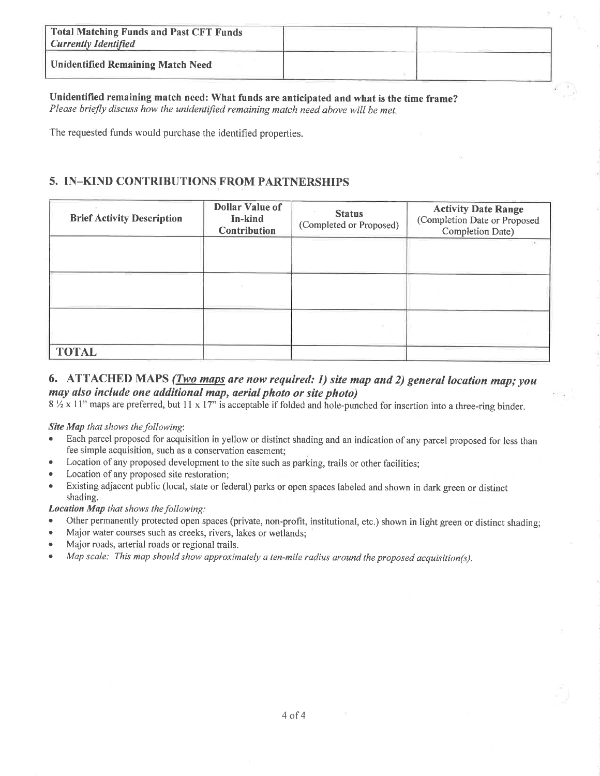| Total Matching Funds and Past CFT Funds<br><b>Currently Identified</b> |  |
|------------------------------------------------------------------------|--|
| <b>Unidentified Remaining Match Need</b>                               |  |

Unidentified remaining match need: What funds are anticipated and what is the time frame? Please briefly discuss how the unidentified remaining match need above will be met.

The requested funds would purchase the identified properties.

## 5. IN\_KIND CONTRIBUTIONS FROM PARTNERSHIPS

| <b>Brief Activity Description</b> | <b>Dollar Value of</b><br>In-kind<br><b>Contribution</b> | <b>Status</b><br>(Completed or Proposed) | <b>Activity Date Range</b><br>(Completion Date or Proposed<br>Completion Date) |
|-----------------------------------|----------------------------------------------------------|------------------------------------------|--------------------------------------------------------------------------------|
|                                   |                                                          |                                          | OF 2                                                                           |
|                                   |                                                          |                                          |                                                                                |
|                                   |                                                          |                                          |                                                                                |
| <b>TOTAL</b>                      |                                                          |                                          |                                                                                |

### 6. ATTACHED MAPS  $(Two\ maps\ are\ now\ required: 1)$  site map and 2) general location map; you may ulso include one additional map, aerial photo or síte photo)

8  $\frac{1}{2}$  x 11" maps are preferred, but 11 x 17" is acceptable if folded and hole-punched for insertion into a three-ring binder.

#### Site Map that shows the following:

- Each parcel proposed for acquisition in yellow or distinct shading and an indication of any parcel proposed for less than fee simple acquisition, such as a conservation easement;
- Location of any proposed development to the site such as parking, trails or other facilities;
- Location of any proposed site restoration;
- Existing adjacent public (local, state or federal) parks or open spaces labeled and shown in dark green or distinct shading.

#### Location Map that shows the following:

- Other permanently protected open spaces (private, non-profit, institutional, etc.) shown in light green or distinct shading;
- . Major water courses such as creeks, rivers, lakes or wetlands;
- . Major roads, arterial roads or regional trails.
- Map scale: This map should show approximately a ten-mile radius around the proposed acquisition(s).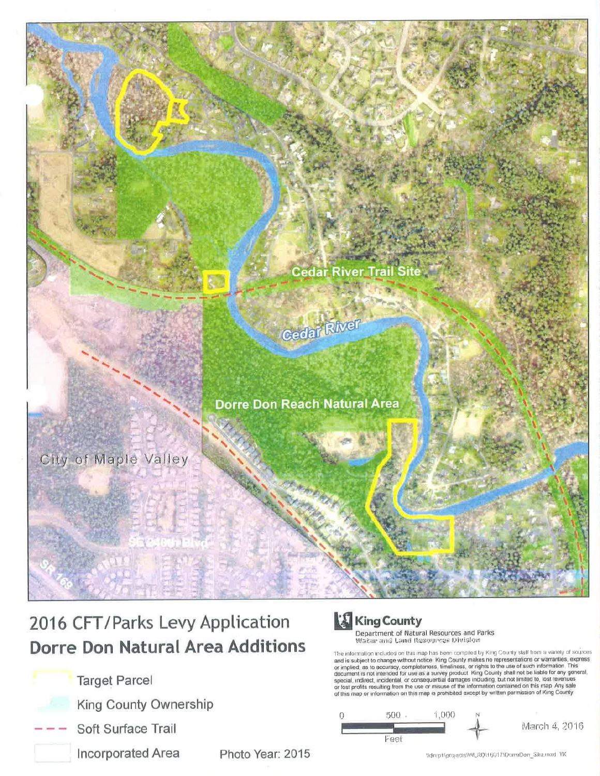

# 2016 CFT/Parks Levy Application **Dorre Don Natural Area Additions**

- **Target Parcel** 
	- King County Ownership
- Soft Surface Trail
	- Incorporated Area

Photo Year: 2015

# **King County**

**Department of Natural Resources and Parks**<br>Water and Land Resources Division

The information included on this map has been compiled by King County staff from a variety of sources<br>and is subject to change without notice. King County makes no representations or warranties, express<br>or implied, as to a of this map or information on this map is prohibited except by written permission of King County



Womp1\projectsWVLRD\16017\DomeDon\_Site.mxd\_TK